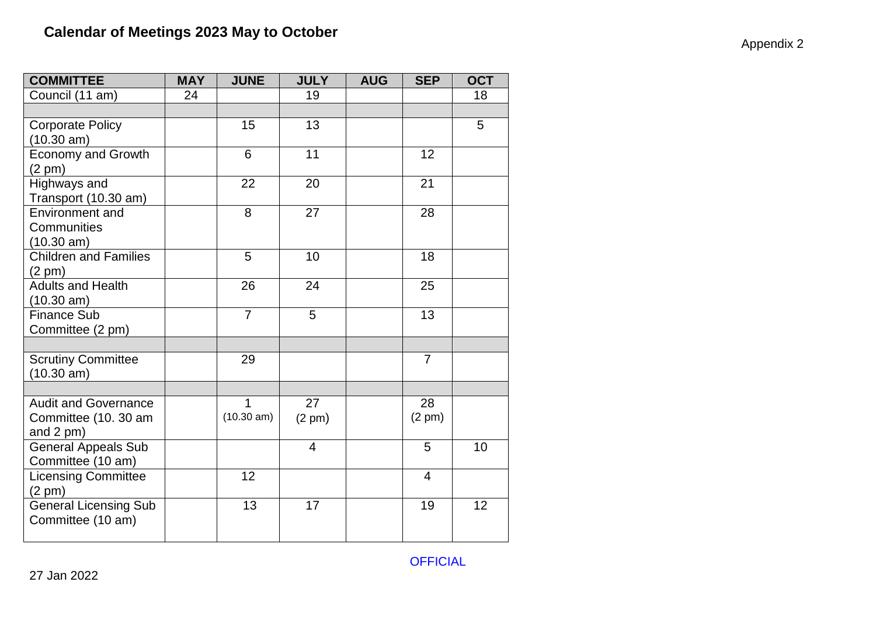|  | Appendix 2 |  |  |
|--|------------|--|--|
|--|------------|--|--|

| <b>COMMITTEE</b>                                 | <b>MAY</b> | <b>JUNE</b>          | <b>JULY</b>      | <b>AUG</b> | <b>SEP</b>       | <b>OCT</b> |
|--------------------------------------------------|------------|----------------------|------------------|------------|------------------|------------|
| Council (11 am)                                  | 24         |                      | 19               |            |                  | 18         |
|                                                  |            |                      |                  |            |                  |            |
| <b>Corporate Policy</b>                          |            | 15                   | 13               |            |                  | 5          |
| (10.30 am)                                       |            |                      |                  |            |                  |            |
| <b>Economy and Growth</b>                        |            | 6                    | 11               |            | 12               |            |
| $(2 \text{ pm})$                                 |            |                      |                  |            |                  |            |
| Highways and                                     |            | 22                   | 20               |            | 21               |            |
| Transport (10.30 am)                             |            |                      |                  |            |                  |            |
| <b>Environment and</b>                           |            | 8                    | 27               |            | 28               |            |
| Communities                                      |            |                      |                  |            |                  |            |
| $(10.30 \text{ am})$                             |            |                      |                  |            |                  |            |
| <b>Children and Families</b>                     |            | 5                    | 10               |            | 18               |            |
| $(2 \text{ pm})$                                 |            |                      |                  |            |                  |            |
| <b>Adults and Health</b>                         |            | 26                   | 24               |            | 25               |            |
| (10.30 am)                                       |            |                      |                  |            |                  |            |
| <b>Finance Sub</b>                               |            | $\overline{7}$       | 5                |            | 13               |            |
| Committee (2 pm)                                 |            |                      |                  |            |                  |            |
|                                                  |            |                      |                  |            |                  |            |
| <b>Scrutiny Committee</b>                        |            | 29                   |                  |            | $\overline{7}$   |            |
| (10.30 am)                                       |            |                      |                  |            |                  |            |
|                                                  |            |                      |                  |            |                  |            |
| <b>Audit and Governance</b>                      |            | $\mathbf 1$          | 27               |            | 28               |            |
| Committee (10. 30 am                             |            | $(10.30 \text{ am})$ | $(2 \text{ pm})$ |            | $(2 \text{ pm})$ |            |
| and $2$ pm $)$                                   |            |                      |                  |            |                  |            |
| <b>General Appeals Sub</b>                       |            |                      | $\overline{4}$   |            | 5                | 10         |
| Committee (10 am)                                |            | 12                   |                  |            | $\overline{4}$   |            |
| <b>Licensing Committee</b>                       |            |                      |                  |            |                  |            |
| $(2 \text{ pm})$<br><b>General Licensing Sub</b> |            | 13                   | 17               |            | 19               | 12         |
| Committee (10 am)                                |            |                      |                  |            |                  |            |
|                                                  |            |                      |                  |            |                  |            |
|                                                  |            |                      |                  |            |                  |            |